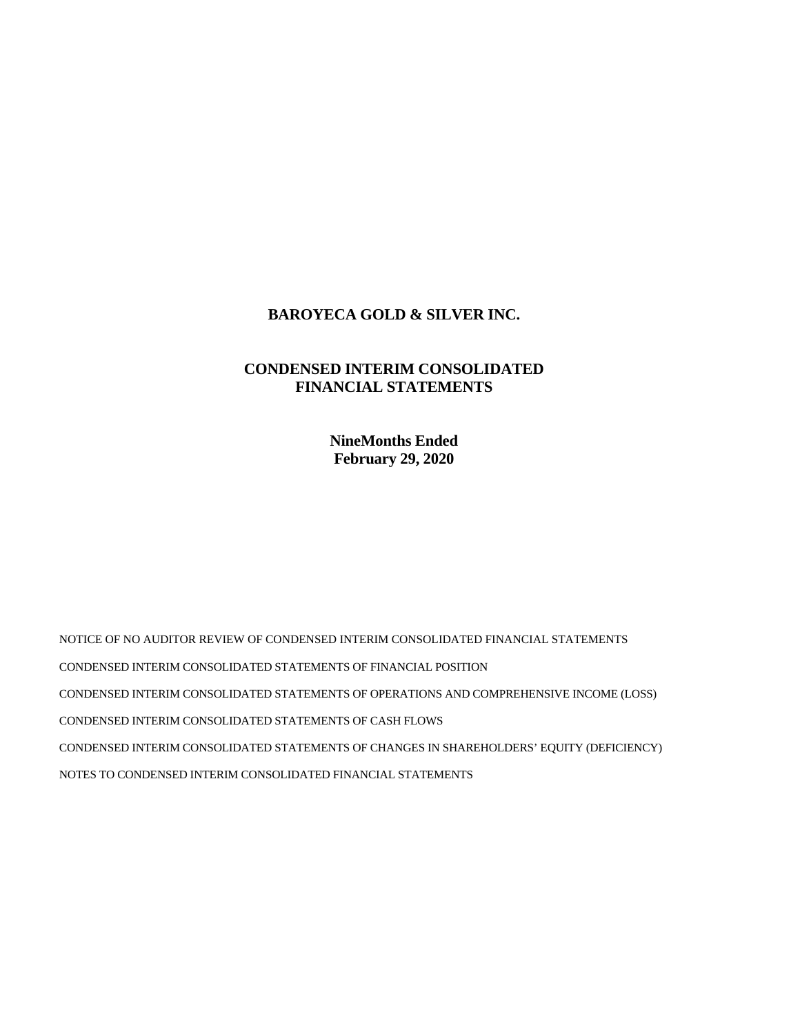# **BAROYECA GOLD & SILVER INC.**

# **CONDENSED INTERIM CONSOLIDATED FINANCIAL STATEMENTS**

**NineMonths Ended February 29, 2020** 

NOTICE OF NO AUDITOR REVIEW OF CONDENSED INTERIM CONSOLIDATED FINANCIAL STATEMENTS CONDENSED INTERIM CONSOLIDATED STATEMENTS OF FINANCIAL POSITION CONDENSED INTERIM CONSOLIDATED STATEMENTS OF OPERATIONS AND COMPREHENSIVE INCOME (LOSS) CONDENSED INTERIM CONSOLIDATED STATEMENTS OF CASH FLOWS CONDENSED INTERIM CONSOLIDATED STATEMENTS OF CHANGES IN SHAREHOLDERS' EQUITY (DEFICIENCY) NOTES TO CONDENSED INTERIM CONSOLIDATED FINANCIAL STATEMENTS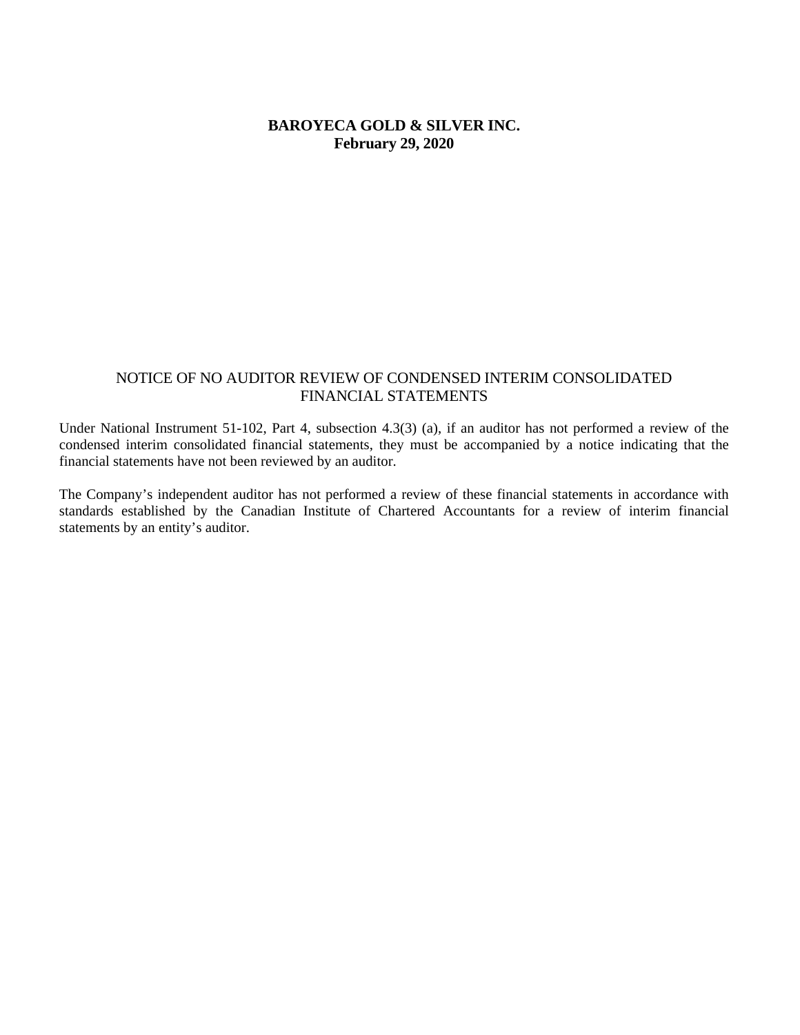# **BAROYECA GOLD & SILVER INC. February 29, 2020**

### NOTICE OF NO AUDITOR REVIEW OF CONDENSED INTERIM CONSOLIDATED FINANCIAL STATEMENTS

Under National Instrument 51-102, Part 4, subsection 4.3(3) (a), if an auditor has not performed a review of the condensed interim consolidated financial statements, they must be accompanied by a notice indicating that the financial statements have not been reviewed by an auditor.

The Company's independent auditor has not performed a review of these financial statements in accordance with standards established by the Canadian Institute of Chartered Accountants for a review of interim financial statements by an entity's auditor.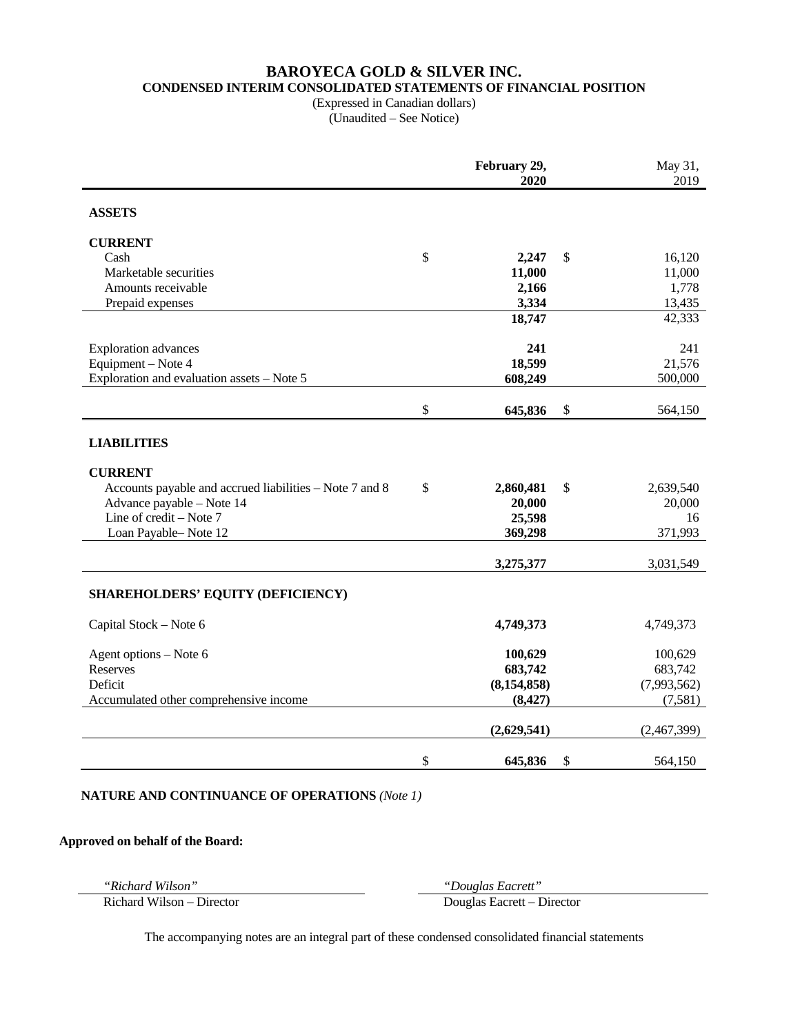# **BAROYECA GOLD & SILVER INC. CONDENSED INTERIM CONSOLIDATED STATEMENTS OF FINANCIAL POSITION**

(Expressed in Canadian dollars) (Unaudited – See Notice)

|                                                         | February 29,<br>2020 | May 31,<br>2019 |
|---------------------------------------------------------|----------------------|-----------------|
| <b>ASSETS</b>                                           |                      |                 |
| <b>CURRENT</b>                                          |                      |                 |
| Cash                                                    | \$<br>2,247          | \$<br>16,120    |
| Marketable securities                                   | 11,000               | 11,000          |
| Amounts receivable                                      | 2,166                | 1,778           |
| Prepaid expenses                                        | 3,334                | 13,435          |
|                                                         | 18,747               | 42,333          |
| <b>Exploration</b> advances                             | 241                  | 241             |
| Equipment - Note 4                                      | 18,599               | 21,576          |
| Exploration and evaluation assets $-$ Note 5            | 608,249              | 500,000         |
|                                                         | \$<br>645,836        | \$<br>564,150   |
| <b>LIABILITIES</b>                                      |                      |                 |
| <b>CURRENT</b>                                          |                      |                 |
| Accounts payable and accrued liabilities - Note 7 and 8 | \$<br>2,860,481      | \$<br>2,639,540 |
| Advance payable - Note 14                               | 20,000               | 20,000          |
| Line of credit - Note 7                                 | 25,598               | 16              |
| Loan Payable-Note 12                                    | 369,298              | 371,993         |
|                                                         | 3,275,377            | 3,031,549       |
| SHAREHOLDERS' EQUITY (DEFICIENCY)                       |                      |                 |
| Capital Stock - Note 6                                  | 4,749,373            | 4,749,373       |
| Agent options - Note 6                                  | 100,629              | 100,629         |
| Reserves                                                | 683,742              | 683,742         |
| Deficit                                                 | (8, 154, 858)        | (7,993,562)     |
| Accumulated other comprehensive income                  | (8, 427)             | (7,581)         |
|                                                         | (2,629,541)          | (2,467,399)     |
|                                                         | \$<br>645,836        | \$<br>564,150   |

### **NATURE AND CONTINUANCE OF OPERATIONS** *(Note 1)*

#### **Approved on behalf of the Board:**

*"Richard Wilson" "Douglas Eacrett"* 

Richard Wilson – Director Douglas Eacrett – Director

The accompanying notes are an integral part of these condensed consolidated financial statements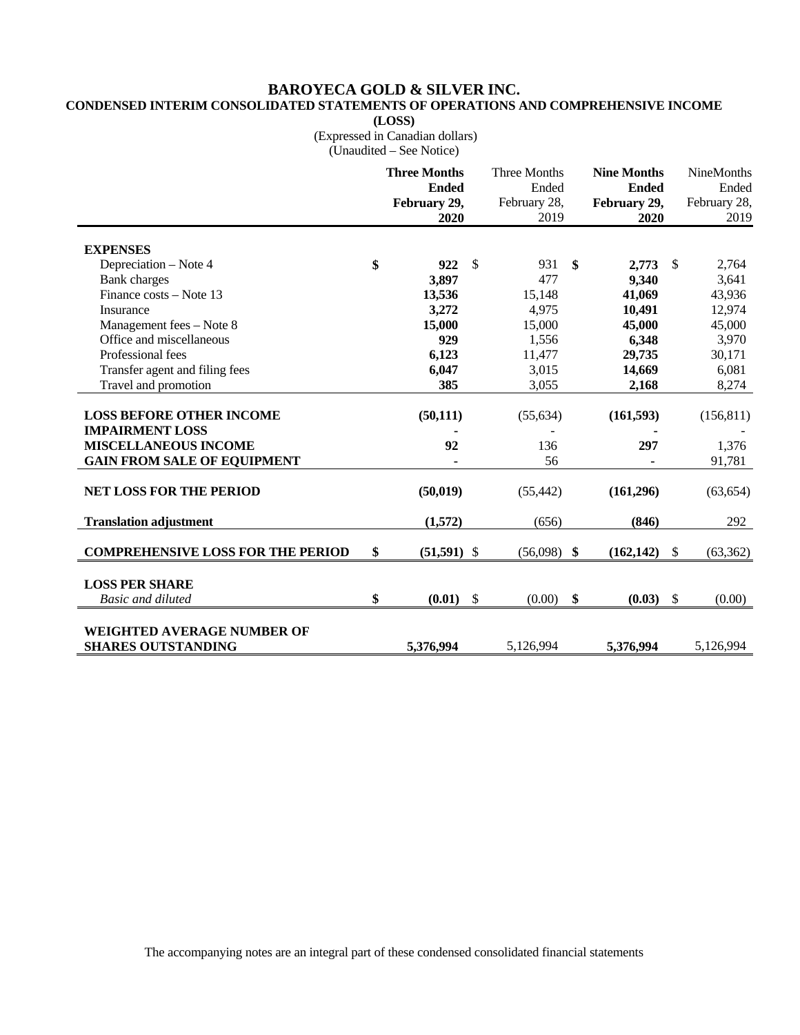# **BAROYECA GOLD & SILVER INC.**

# **CONDENSED INTERIM CONSOLIDATED STATEMENTS OF OPERATIONS AND COMPREHENSIVE INCOME**

**(LOSS)** 

 (Expressed in Canadian dollars) (Unaudited – See Notice)

|                                                           | <b>Three Months</b><br><b>Ended</b><br>February 29,<br>2020 |               | Three Months<br>Ended<br>February 28,<br>2019 | <b>Nine Months</b><br><b>Ended</b><br>February 29,<br>2020 |               | <b>NineMonths</b><br>Ended<br>February 28,<br>2019 |
|-----------------------------------------------------------|-------------------------------------------------------------|---------------|-----------------------------------------------|------------------------------------------------------------|---------------|----------------------------------------------------|
| <b>EXPENSES</b>                                           |                                                             |               |                                               |                                                            |               |                                                    |
| Depreciation - Note 4                                     | \$<br>922                                                   | $\mathcal{S}$ | 931                                           | \$<br>2,773                                                | - \$          | 2,764                                              |
| <b>Bank</b> charges                                       | 3,897                                                       |               | 477                                           | 9,340                                                      |               | 3,641                                              |
| Finance costs – Note 13                                   | 13,536                                                      |               | 15,148                                        | 41,069                                                     |               | 43,936                                             |
| Insurance                                                 | 3,272                                                       |               | 4,975                                         | 10,491                                                     |               | 12,974                                             |
| Management fees - Note 8                                  | 15,000                                                      |               | 15,000                                        | 45,000                                                     |               | 45,000                                             |
| Office and miscellaneous                                  | 929                                                         |               | 1,556                                         | 6,348                                                      |               | 3,970                                              |
| Professional fees                                         | 6,123                                                       |               | 11,477                                        | 29,735                                                     |               | 30,171                                             |
| Transfer agent and filing fees                            | 6,047                                                       |               | 3,015                                         | 14,669                                                     |               | 6.081                                              |
| Travel and promotion                                      | 385                                                         |               | 3,055                                         | 2,168                                                      |               | 8,274                                              |
| <b>LOSS BEFORE OTHER INCOME</b><br><b>IMPAIRMENT LOSS</b> | (50, 111)                                                   |               | (55, 634)                                     | (161, 593)                                                 |               | (156, 811)                                         |
| <b>MISCELLANEOUS INCOME</b>                               | 92                                                          |               | 136                                           | 297                                                        |               | 1,376                                              |
| <b>GAIN FROM SALE OF EQUIPMENT</b>                        |                                                             |               | 56                                            |                                                            |               | 91,781                                             |
| <b>NET LOSS FOR THE PERIOD</b>                            | (50, 019)                                                   |               | (55, 442)                                     | (161,296)                                                  |               | (63, 654)                                          |
| <b>Translation adjustment</b>                             | (1,572)                                                     |               | (656)                                         | (846)                                                      |               | 292                                                |
| <b>COMPREHENSIVE LOSS FOR THE PERIOD</b>                  | \$<br>$(51,591)$ \$                                         |               | (56,098)                                      | \$<br>(162, 142)                                           | $\mathbb{S}$  | (63, 362)                                          |
| <b>LOSS PER SHARE</b><br><b>Basic and diluted</b>         | \$<br>(0.01)                                                | $\mathcal{S}$ | (0.00)                                        | \$<br>(0.03)                                               | $\mathcal{S}$ | (0.00)                                             |
| WEIGHTED AVERAGE NUMBER OF<br><b>SHARES OUTSTANDING</b>   | 5,376,994                                                   |               | 5,126,994                                     | 5,376,994                                                  |               | 5,126,994                                          |

The accompanying notes are an integral part of these condensed consolidated financial statements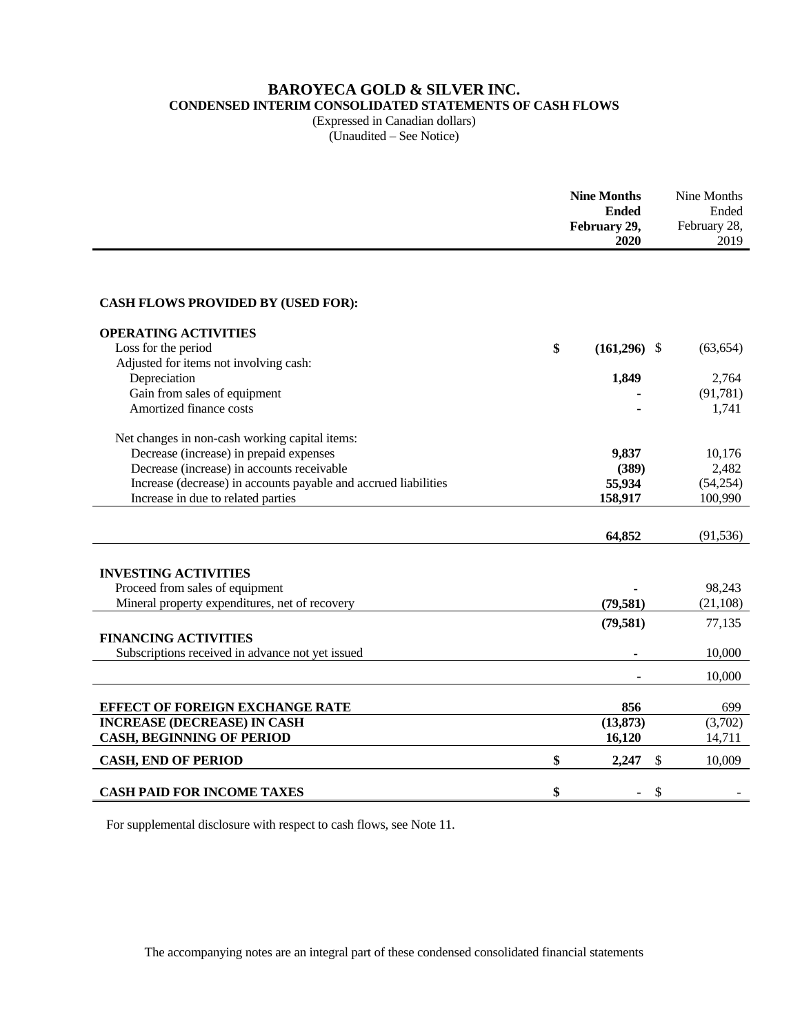# **BAROYECA GOLD & SILVER INC.**

**CONDENSED INTERIM CONSOLIDATED STATEMENTS OF CASH FLOWS** 

(Expressed in Canadian dollars) (Unaudited – See Notice)

|                                                                 | <b>Nine Months</b><br><b>Ended</b><br>February 29,<br>2020 | Nine Months<br>Ended<br>February 28,<br>2019 |
|-----------------------------------------------------------------|------------------------------------------------------------|----------------------------------------------|
|                                                                 |                                                            |                                              |
|                                                                 |                                                            |                                              |
| <b>CASH FLOWS PROVIDED BY (USED FOR):</b>                       |                                                            |                                              |
| <b>OPERATING ACTIVITIES</b>                                     |                                                            |                                              |
| Loss for the period                                             | \$<br>$(161,296)$ \$                                       | (63, 654)                                    |
| Adjusted for items not involving cash:                          |                                                            |                                              |
| Depreciation                                                    | 1,849                                                      | 2,764                                        |
| Gain from sales of equipment                                    |                                                            | (91, 781)                                    |
| Amortized finance costs                                         |                                                            | 1,741                                        |
| Net changes in non-cash working capital items:                  |                                                            |                                              |
| Decrease (increase) in prepaid expenses                         | 9,837                                                      | 10,176                                       |
| Decrease (increase) in accounts receivable                      | (389)                                                      | 2,482                                        |
| Increase (decrease) in accounts payable and accrued liabilities | 55,934                                                     | (54,254)                                     |
| Increase in due to related parties                              | 158,917                                                    | 100,990                                      |
|                                                                 |                                                            |                                              |
|                                                                 | 64,852                                                     | (91, 536)                                    |
|                                                                 |                                                            |                                              |
| <b>INVESTING ACTIVITIES</b>                                     |                                                            |                                              |
| Proceed from sales of equipment                                 |                                                            | 98,243                                       |
| Mineral property expenditures, net of recovery                  | (79, 581)                                                  | (21, 108)                                    |
|                                                                 | (79, 581)                                                  | 77,135                                       |
| <b>FINANCING ACTIVITIES</b>                                     |                                                            |                                              |
| Subscriptions received in advance not yet issued                |                                                            | 10,000                                       |
|                                                                 |                                                            | 10,000                                       |
|                                                                 |                                                            |                                              |
| <b>EFFECT OF FOREIGN EXCHANGE RATE</b>                          | 856                                                        | 699                                          |
| <b>INCREASE (DECREASE) IN CASH</b>                              | (13, 873)                                                  | (3,702)                                      |
| <b>CASH, BEGINNING OF PERIOD</b>                                | 16,120                                                     | 14,711                                       |
| <b>CASH, END OF PERIOD</b>                                      | \$<br>2,247<br>\$                                          | 10,009                                       |
| <b>CASH PAID FOR INCOME TAXES</b>                               | \$<br>\$                                                   |                                              |
|                                                                 |                                                            |                                              |

For supplemental disclosure with respect to cash flows, see Note 11.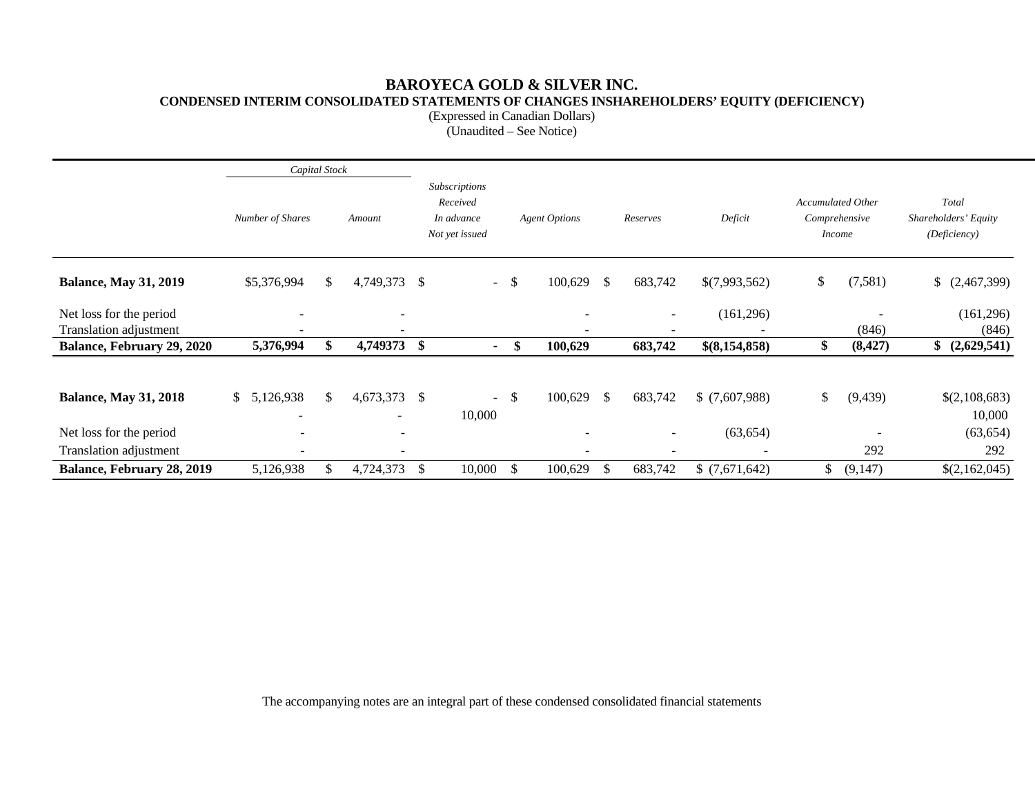### **BAROYECA GOLD & SILVER INC. CONDENSED INTERIM CONSOLIDATED STATEMENTS OF CHANGES INSHAREHOLDERS' EQUITY (DEFICIENCY)**

(Expressed in Canadian Dollars)

(Unaudited – See Notice)

|                                                   | Capital Stock            |              |                              |                                                           |        |                      |    |                          |                          |              |                                                            |                                               |
|---------------------------------------------------|--------------------------|--------------|------------------------------|-----------------------------------------------------------|--------|----------------------|----|--------------------------|--------------------------|--------------|------------------------------------------------------------|-----------------------------------------------|
|                                                   | Number of Shares         |              | Amount                       | Subscriptions<br>Received<br>In advance<br>Not yet issued |        | <b>Agent Options</b> |    | Reserves                 | Deficit                  |              | <b>Accumulated Other</b><br>Comprehensive<br><i>Income</i> | Total<br>Shareholders' Equity<br>(Deficiency) |
| <b>Balance, May 31, 2019</b>                      | \$5,376,994              | $\mathbb{S}$ | 4,749,373 \$                 |                                                           | $-$ \$ | 100,629              | \$ | 683,742                  | \$(7,993,562)            | \$           | (7, 581)                                                   | (2,467,399)                                   |
| Net loss for the period<br>Translation adjustment |                          |              | $\overline{\phantom{0}}$     |                                                           |        |                      |    | $\sim$                   | (161,296)                |              | (846)                                                      | (161, 296)<br>(846)                           |
| <b>Balance, February 29, 2020</b>                 | 5,376,994                | \$           | 4,749373 \$                  | $\blacksquare$                                            |        | \$<br>100,629        |    | 683,742                  | \$(8,154,858)            | \$           | (8, 427)                                                   | \$ (2,629,541)                                |
| <b>Balance, May 31, 2018</b>                      | \$<br>5,126,938          | $\mathbb{S}$ | 4,673,373 \$                 | 10,000                                                    | $-$ \$ | 100,629              | S. | 683,742                  | \$(7,607,988)            | \$           | (9, 439)                                                   | \$(2,108,683)<br>10,000                       |
| Net loss for the period                           | $\overline{\phantom{a}}$ |              | $\overline{\phantom{a}}$     |                                                           |        |                      |    | $\sim$                   | (63, 654)                |              |                                                            | (63, 654)                                     |
| Translation adjustment                            | $\overline{\phantom{a}}$ |              | $\qquad \qquad \blacksquare$ |                                                           |        |                      |    | $\overline{\phantom{a}}$ | $\overline{\phantom{a}}$ |              | 292                                                        | 292                                           |
| Balance, February 28, 2019                        | 5,126,938                | \$           | 4,724,373                    | \$<br>10,000                                              | \$     | 100,629              | \$ | 683,742                  | \$(7,671,642)            | $\mathbb{S}$ | (9,147)                                                    | \$(2,162,045)                                 |

The accompanying notes are an integral part of these condensed consolidated financial statements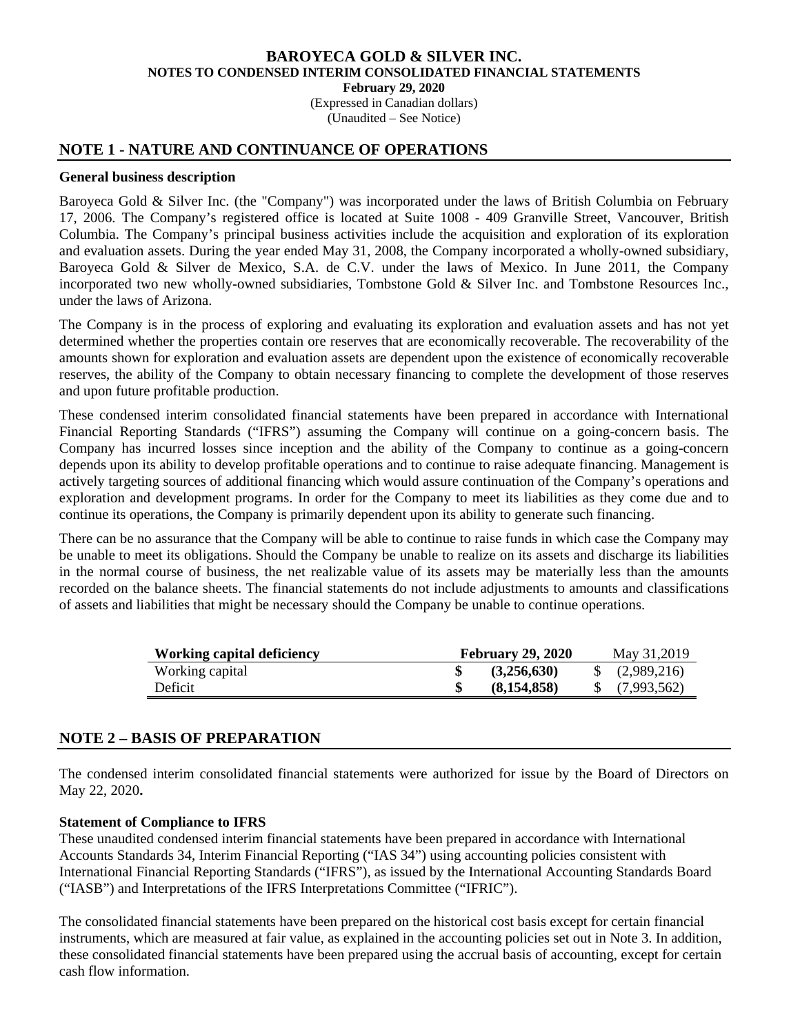(Expressed in Canadian dollars) (Unaudited – See Notice)

### **NOTE 1 - NATURE AND CONTINUANCE OF OPERATIONS**

#### **General business description**

Baroyeca Gold & Silver Inc. (the "Company") was incorporated under the laws of British Columbia on February 17, 2006. The Company's registered office is located at Suite 1008 - 409 Granville Street, Vancouver, British Columbia. The Company's principal business activities include the acquisition and exploration of its exploration and evaluation assets. During the year ended May 31, 2008, the Company incorporated a wholly-owned subsidiary, Baroyeca Gold & Silver de Mexico, S.A. de C.V. under the laws of Mexico. In June 2011, the Company incorporated two new wholly-owned subsidiaries, Tombstone Gold & Silver Inc. and Tombstone Resources Inc., under the laws of Arizona.

The Company is in the process of exploring and evaluating its exploration and evaluation assets and has not yet determined whether the properties contain ore reserves that are economically recoverable. The recoverability of the amounts shown for exploration and evaluation assets are dependent upon the existence of economically recoverable reserves, the ability of the Company to obtain necessary financing to complete the development of those reserves and upon future profitable production.

These condensed interim consolidated financial statements have been prepared in accordance with International Financial Reporting Standards ("IFRS") assuming the Company will continue on a going-concern basis. The Company has incurred losses since inception and the ability of the Company to continue as a going-concern depends upon its ability to develop profitable operations and to continue to raise adequate financing. Management is actively targeting sources of additional financing which would assure continuation of the Company's operations and exploration and development programs. In order for the Company to meet its liabilities as they come due and to continue its operations, the Company is primarily dependent upon its ability to generate such financing.

There can be no assurance that the Company will be able to continue to raise funds in which case the Company may be unable to meet its obligations. Should the Company be unable to realize on its assets and discharge its liabilities in the normal course of business, the net realizable value of its assets may be materially less than the amounts recorded on the balance sheets. The financial statements do not include adjustments to amounts and classifications of assets and liabilities that might be necessary should the Company be unable to continue operations.

| <b>Working capital deficiency</b> | <b>February 29, 2020</b> |             |  | May 31,2019               |
|-----------------------------------|--------------------------|-------------|--|---------------------------|
| Working capital                   |                          | (3,256,630) |  | $\frac{1}{2}$ (2,989,216) |
| Deficit                           |                          | (8,154,858) |  | $\{(7,993,562)\}$         |

### **NOTE 2 – BASIS OF PREPARATION**

The condensed interim consolidated financial statements were authorized for issue by the Board of Directors on May 22, 2020**.** 

#### **Statement of Compliance to IFRS**

These unaudited condensed interim financial statements have been prepared in accordance with International Accounts Standards 34, Interim Financial Reporting ("IAS 34") using accounting policies consistent with International Financial Reporting Standards ("IFRS"), as issued by the International Accounting Standards Board ("IASB") and Interpretations of the IFRS Interpretations Committee ("IFRIC").

The consolidated financial statements have been prepared on the historical cost basis except for certain financial instruments, which are measured at fair value, as explained in the accounting policies set out in Note 3. In addition, these consolidated financial statements have been prepared using the accrual basis of accounting, except for certain cash flow information.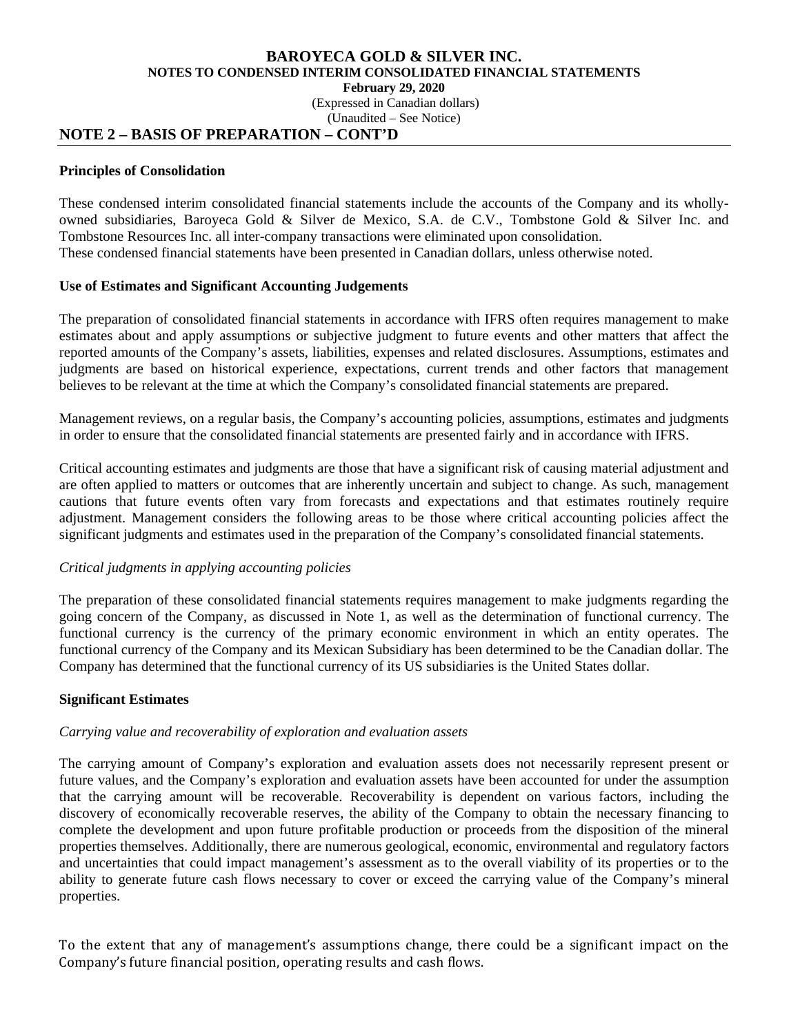(Expressed in Canadian dollars)

(Unaudited – See Notice)

# **NOTE 2 – BASIS OF PREPARATION – CONT'D**

## **Principles of Consolidation**

These condensed interim consolidated financial statements include the accounts of the Company and its whollyowned subsidiaries, Baroyeca Gold & Silver de Mexico, S.A. de C.V., Tombstone Gold & Silver Inc. and Tombstone Resources Inc. all inter-company transactions were eliminated upon consolidation. These condensed financial statements have been presented in Canadian dollars, unless otherwise noted.

# **Use of Estimates and Significant Accounting Judgements**

The preparation of consolidated financial statements in accordance with IFRS often requires management to make estimates about and apply assumptions or subjective judgment to future events and other matters that affect the reported amounts of the Company's assets, liabilities, expenses and related disclosures. Assumptions, estimates and judgments are based on historical experience, expectations, current trends and other factors that management believes to be relevant at the time at which the Company's consolidated financial statements are prepared.

Management reviews, on a regular basis, the Company's accounting policies, assumptions, estimates and judgments in order to ensure that the consolidated financial statements are presented fairly and in accordance with IFRS.

Critical accounting estimates and judgments are those that have a significant risk of causing material adjustment and are often applied to matters or outcomes that are inherently uncertain and subject to change. As such, management cautions that future events often vary from forecasts and expectations and that estimates routinely require adjustment. Management considers the following areas to be those where critical accounting policies affect the significant judgments and estimates used in the preparation of the Company's consolidated financial statements.

# *Critical judgments in applying accounting policies*

The preparation of these consolidated financial statements requires management to make judgments regarding the going concern of the Company, as discussed in Note 1, as well as the determination of functional currency. The functional currency is the currency of the primary economic environment in which an entity operates. The functional currency of the Company and its Mexican Subsidiary has been determined to be the Canadian dollar. The Company has determined that the functional currency of its US subsidiaries is the United States dollar.

# **Significant Estimates**

# *Carrying value and recoverability of exploration and evaluation assets*

The carrying amount of Company's exploration and evaluation assets does not necessarily represent present or future values, and the Company's exploration and evaluation assets have been accounted for under the assumption that the carrying amount will be recoverable. Recoverability is dependent on various factors, including the discovery of economically recoverable reserves, the ability of the Company to obtain the necessary financing to complete the development and upon future profitable production or proceeds from the disposition of the mineral properties themselves. Additionally, there are numerous geological, economic, environmental and regulatory factors and uncertainties that could impact management's assessment as to the overall viability of its properties or to the ability to generate future cash flows necessary to cover or exceed the carrying value of the Company's mineral properties.

To the extent that any of management's assumptions change, there could be a significant impact on the Company's future financial position, operating results and cash flows.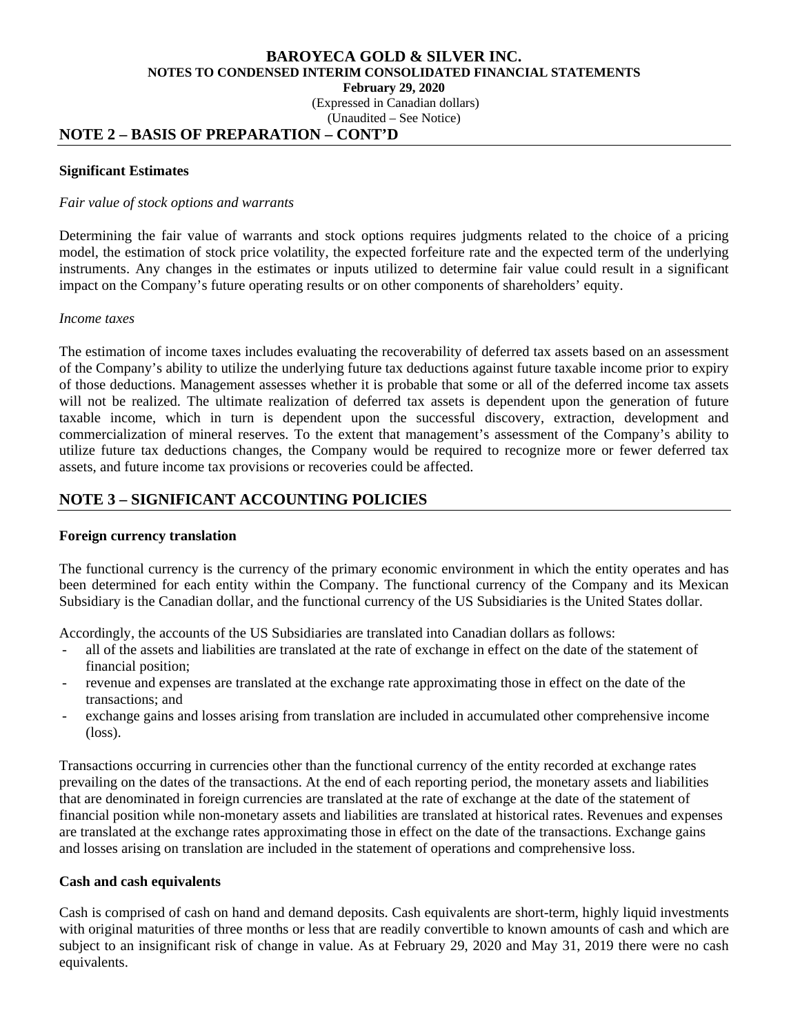(Expressed in Canadian dollars)

(Unaudited – See Notice)

### **NOTE 2 – BASIS OF PREPARATION – CONT'D**

#### **Significant Estimates**

#### *Fair value of stock options and warrants*

Determining the fair value of warrants and stock options requires judgments related to the choice of a pricing model, the estimation of stock price volatility, the expected forfeiture rate and the expected term of the underlying instruments. Any changes in the estimates or inputs utilized to determine fair value could result in a significant impact on the Company's future operating results or on other components of shareholders' equity.

### *Income taxes*

The estimation of income taxes includes evaluating the recoverability of deferred tax assets based on an assessment of the Company's ability to utilize the underlying future tax deductions against future taxable income prior to expiry of those deductions. Management assesses whether it is probable that some or all of the deferred income tax assets will not be realized. The ultimate realization of deferred tax assets is dependent upon the generation of future taxable income, which in turn is dependent upon the successful discovery, extraction, development and commercialization of mineral reserves. To the extent that management's assessment of the Company's ability to utilize future tax deductions changes, the Company would be required to recognize more or fewer deferred tax assets, and future income tax provisions or recoveries could be affected.

# **NOTE 3 – SIGNIFICANT ACCOUNTING POLICIES**

### **Foreign currency translation**

The functional currency is the currency of the primary economic environment in which the entity operates and has been determined for each entity within the Company. The functional currency of the Company and its Mexican Subsidiary is the Canadian dollar, and the functional currency of the US Subsidiaries is the United States dollar.

Accordingly, the accounts of the US Subsidiaries are translated into Canadian dollars as follows:

- all of the assets and liabilities are translated at the rate of exchange in effect on the date of the statement of financial position;
- revenue and expenses are translated at the exchange rate approximating those in effect on the date of the transactions; and
- exchange gains and losses arising from translation are included in accumulated other comprehensive income (loss).

Transactions occurring in currencies other than the functional currency of the entity recorded at exchange rates prevailing on the dates of the transactions. At the end of each reporting period, the monetary assets and liabilities that are denominated in foreign currencies are translated at the rate of exchange at the date of the statement of financial position while non-monetary assets and liabilities are translated at historical rates. Revenues and expenses are translated at the exchange rates approximating those in effect on the date of the transactions. Exchange gains and losses arising on translation are included in the statement of operations and comprehensive loss.

### **Cash and cash equivalents**

Cash is comprised of cash on hand and demand deposits. Cash equivalents are short-term, highly liquid investments with original maturities of three months or less that are readily convertible to known amounts of cash and which are subject to an insignificant risk of change in value. As at February 29, 2020 and May 31, 2019 there were no cash equivalents.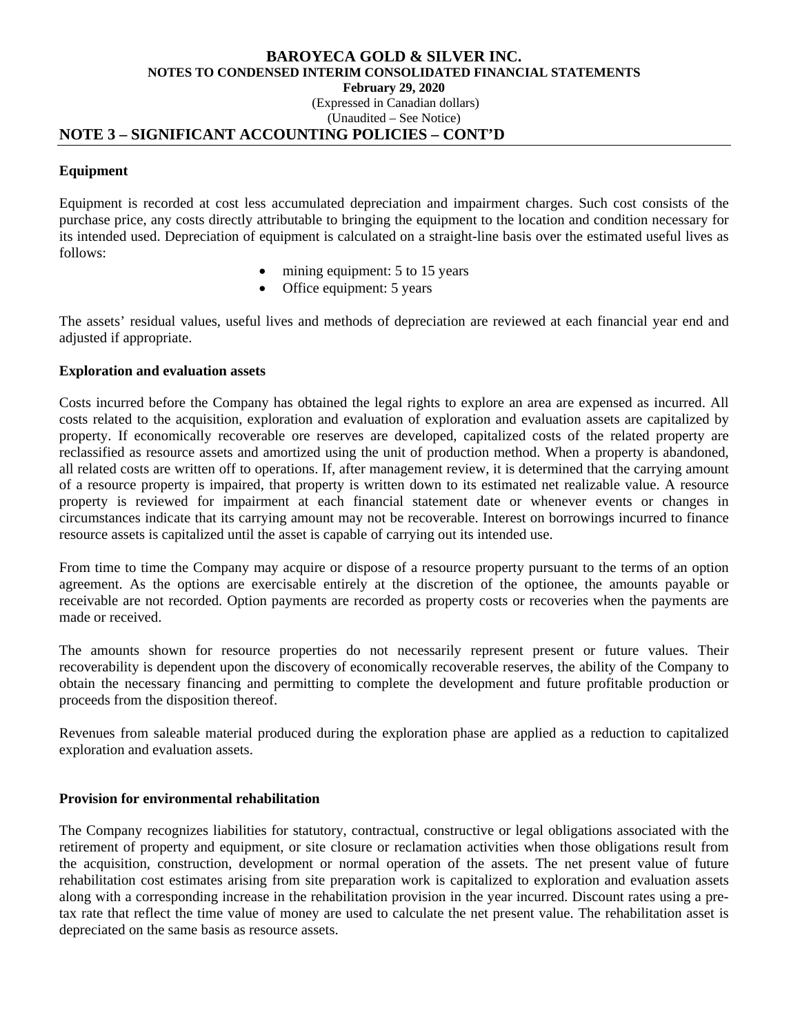### **BAROYECA GOLD & SILVER INC. NOTES TO CONDENSED INTERIM CONSOLIDATED FINANCIAL STATEMENTS February 29, 2020**  (Expressed in Canadian dollars)

# (Unaudited – See Notice)

### **NOTE 3 – SIGNIFICANT ACCOUNTING POLICIES – CONT'D**

### **Equipment**

Equipment is recorded at cost less accumulated depreciation and impairment charges. Such cost consists of the purchase price, any costs directly attributable to bringing the equipment to the location and condition necessary for its intended used. Depreciation of equipment is calculated on a straight-line basis over the estimated useful lives as follows:

- mining equipment: 5 to 15 years
- Office equipment: 5 years

The assets' residual values, useful lives and methods of depreciation are reviewed at each financial year end and adjusted if appropriate.

### **Exploration and evaluation assets**

Costs incurred before the Company has obtained the legal rights to explore an area are expensed as incurred. All costs related to the acquisition, exploration and evaluation of exploration and evaluation assets are capitalized by property. If economically recoverable ore reserves are developed, capitalized costs of the related property are reclassified as resource assets and amortized using the unit of production method. When a property is abandoned, all related costs are written off to operations. If, after management review, it is determined that the carrying amount of a resource property is impaired, that property is written down to its estimated net realizable value. A resource property is reviewed for impairment at each financial statement date or whenever events or changes in circumstances indicate that its carrying amount may not be recoverable. Interest on borrowings incurred to finance resource assets is capitalized until the asset is capable of carrying out its intended use.

From time to time the Company may acquire or dispose of a resource property pursuant to the terms of an option agreement. As the options are exercisable entirely at the discretion of the optionee, the amounts payable or receivable are not recorded. Option payments are recorded as property costs or recoveries when the payments are made or received.

The amounts shown for resource properties do not necessarily represent present or future values. Their recoverability is dependent upon the discovery of economically recoverable reserves, the ability of the Company to obtain the necessary financing and permitting to complete the development and future profitable production or proceeds from the disposition thereof.

Revenues from saleable material produced during the exploration phase are applied as a reduction to capitalized exploration and evaluation assets.

### **Provision for environmental rehabilitation**

The Company recognizes liabilities for statutory, contractual, constructive or legal obligations associated with the retirement of property and equipment, or site closure or reclamation activities when those obligations result from the acquisition, construction, development or normal operation of the assets. The net present value of future rehabilitation cost estimates arising from site preparation work is capitalized to exploration and evaluation assets along with a corresponding increase in the rehabilitation provision in the year incurred. Discount rates using a pretax rate that reflect the time value of money are used to calculate the net present value. The rehabilitation asset is depreciated on the same basis as resource assets.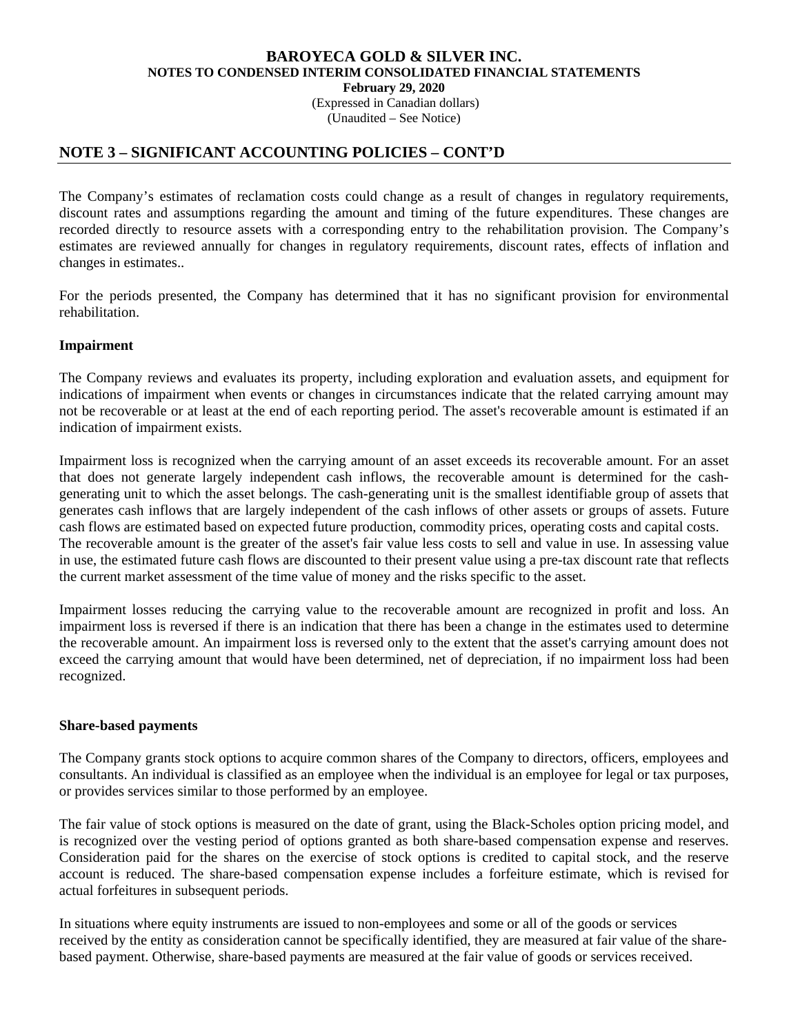(Expressed in Canadian dollars) (Unaudited – See Notice)

### **NOTE 3 – SIGNIFICANT ACCOUNTING POLICIES – CONT'D**

The Company's estimates of reclamation costs could change as a result of changes in regulatory requirements, discount rates and assumptions regarding the amount and timing of the future expenditures. These changes are recorded directly to resource assets with a corresponding entry to the rehabilitation provision. The Company's estimates are reviewed annually for changes in regulatory requirements, discount rates, effects of inflation and changes in estimates..

For the periods presented, the Company has determined that it has no significant provision for environmental rehabilitation.

### **Impairment**

The Company reviews and evaluates its property, including exploration and evaluation assets, and equipment for indications of impairment when events or changes in circumstances indicate that the related carrying amount may not be recoverable or at least at the end of each reporting period. The asset's recoverable amount is estimated if an indication of impairment exists.

Impairment loss is recognized when the carrying amount of an asset exceeds its recoverable amount. For an asset that does not generate largely independent cash inflows, the recoverable amount is determined for the cashgenerating unit to which the asset belongs. The cash-generating unit is the smallest identifiable group of assets that generates cash inflows that are largely independent of the cash inflows of other assets or groups of assets. Future cash flows are estimated based on expected future production, commodity prices, operating costs and capital costs. The recoverable amount is the greater of the asset's fair value less costs to sell and value in use. In assessing value in use, the estimated future cash flows are discounted to their present value using a pre-tax discount rate that reflects the current market assessment of the time value of money and the risks specific to the asset.

Impairment losses reducing the carrying value to the recoverable amount are recognized in profit and loss. An impairment loss is reversed if there is an indication that there has been a change in the estimates used to determine the recoverable amount. An impairment loss is reversed only to the extent that the asset's carrying amount does not exceed the carrying amount that would have been determined, net of depreciation, if no impairment loss had been recognized.

#### **Share-based payments**

The Company grants stock options to acquire common shares of the Company to directors, officers, employees and consultants. An individual is classified as an employee when the individual is an employee for legal or tax purposes, or provides services similar to those performed by an employee.

The fair value of stock options is measured on the date of grant, using the Black-Scholes option pricing model, and is recognized over the vesting period of options granted as both share-based compensation expense and reserves. Consideration paid for the shares on the exercise of stock options is credited to capital stock, and the reserve account is reduced. The share-based compensation expense includes a forfeiture estimate, which is revised for actual forfeitures in subsequent periods.

In situations where equity instruments are issued to non-employees and some or all of the goods or services received by the entity as consideration cannot be specifically identified, they are measured at fair value of the sharebased payment. Otherwise, share-based payments are measured at the fair value of goods or services received.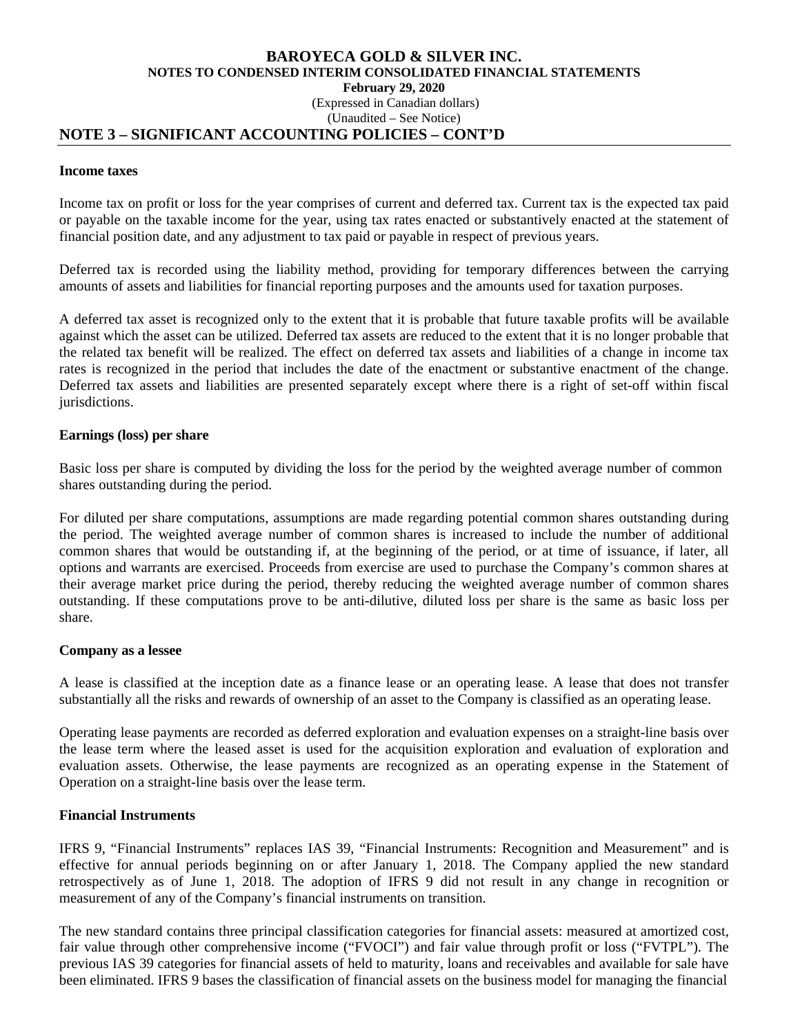### **BAROYECA GOLD & SILVER INC. NOTES TO CONDENSED INTERIM CONSOLIDATED FINANCIAL STATEMENTS February 29, 2020**  (Expressed in Canadian dollars) (Unaudited – See Notice)

### **NOTE 3 – SIGNIFICANT ACCOUNTING POLICIES – CONT'D**

#### **Income taxes**

Income tax on profit or loss for the year comprises of current and deferred tax. Current tax is the expected tax paid or payable on the taxable income for the year, using tax rates enacted or substantively enacted at the statement of financial position date, and any adjustment to tax paid or payable in respect of previous years.

Deferred tax is recorded using the liability method, providing for temporary differences between the carrying amounts of assets and liabilities for financial reporting purposes and the amounts used for taxation purposes.

A deferred tax asset is recognized only to the extent that it is probable that future taxable profits will be available against which the asset can be utilized. Deferred tax assets are reduced to the extent that it is no longer probable that the related tax benefit will be realized. The effect on deferred tax assets and liabilities of a change in income tax rates is recognized in the period that includes the date of the enactment or substantive enactment of the change. Deferred tax assets and liabilities are presented separately except where there is a right of set-off within fiscal jurisdictions.

#### **Earnings (loss) per share**

Basic loss per share is computed by dividing the loss for the period by the weighted average number of common shares outstanding during the period.

For diluted per share computations, assumptions are made regarding potential common shares outstanding during the period. The weighted average number of common shares is increased to include the number of additional common shares that would be outstanding if, at the beginning of the period, or at time of issuance, if later, all options and warrants are exercised. Proceeds from exercise are used to purchase the Company's common shares at their average market price during the period, thereby reducing the weighted average number of common shares outstanding. If these computations prove to be anti-dilutive, diluted loss per share is the same as basic loss per share.

#### **Company as a lessee**

A lease is classified at the inception date as a finance lease or an operating lease. A lease that does not transfer substantially all the risks and rewards of ownership of an asset to the Company is classified as an operating lease.

Operating lease payments are recorded as deferred exploration and evaluation expenses on a straight-line basis over the lease term where the leased asset is used for the acquisition exploration and evaluation of exploration and evaluation assets. Otherwise, the lease payments are recognized as an operating expense in the Statement of Operation on a straight-line basis over the lease term.

### **Financial Instruments**

IFRS 9, "Financial Instruments" replaces IAS 39, "Financial Instruments: Recognition and Measurement" and is effective for annual periods beginning on or after January 1, 2018. The Company applied the new standard retrospectively as of June 1, 2018. The adoption of IFRS 9 did not result in any change in recognition or measurement of any of the Company's financial instruments on transition.

The new standard contains three principal classification categories for financial assets: measured at amortized cost, fair value through other comprehensive income ("FVOCI") and fair value through profit or loss ("FVTPL"). The previous IAS 39 categories for financial assets of held to maturity, loans and receivables and available for sale have been eliminated. IFRS 9 bases the classification of financial assets on the business model for managing the financial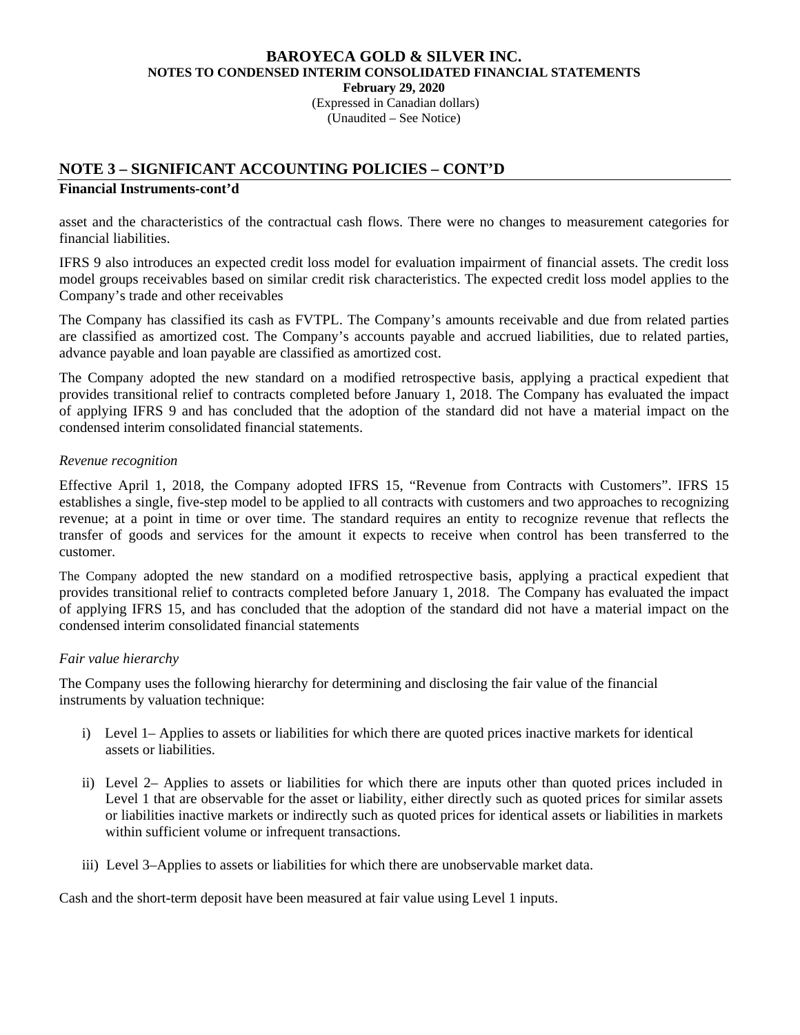(Expressed in Canadian dollars) (Unaudited – See Notice)

# **NOTE 3 – SIGNIFICANT ACCOUNTING POLICIES – CONT'D**

### **Financial Instruments-cont'd**

asset and the characteristics of the contractual cash flows. There were no changes to measurement categories for financial liabilities.

IFRS 9 also introduces an expected credit loss model for evaluation impairment of financial assets. The credit loss model groups receivables based on similar credit risk characteristics. The expected credit loss model applies to the Company's trade and other receivables

 The Company has classified its cash as FVTPL. The Company's amounts receivable and due from related parties are classified as amortized cost. The Company's accounts payable and accrued liabilities, due to related parties, advance payable and loan payable are classified as amortized cost.

The Company adopted the new standard on a modified retrospective basis, applying a practical expedient that provides transitional relief to contracts completed before January 1, 2018. The Company has evaluated the impact of applying IFRS 9 and has concluded that the adoption of the standard did not have a material impact on the condensed interim consolidated financial statements.

### *Revenue recognition*

Effective April 1, 2018, the Company adopted IFRS 15, "Revenue from Contracts with Customers". IFRS 15 establishes a single, five-step model to be applied to all contracts with customers and two approaches to recognizing revenue; at a point in time or over time. The standard requires an entity to recognize revenue that reflects the transfer of goods and services for the amount it expects to receive when control has been transferred to the customer.

The Company adopted the new standard on a modified retrospective basis, applying a practical expedient that provides transitional relief to contracts completed before January 1, 2018. The Company has evaluated the impact of applying IFRS 15, and has concluded that the adoption of the standard did not have a material impact on the condensed interim consolidated financial statements

### *Fair value hierarchy*

The Company uses the following hierarchy for determining and disclosing the fair value of the financial instruments by valuation technique:

- i) Level 1– Applies to assets or liabilities for which there are quoted prices inactive markets for identical assets or liabilities.
- ii) Level 2– Applies to assets or liabilities for which there are inputs other than quoted prices included in Level 1 that are observable for the asset or liability, either directly such as quoted prices for similar assets or liabilities inactive markets or indirectly such as quoted prices for identical assets or liabilities in markets within sufficient volume or infrequent transactions.
- iii) Level 3–Applies to assets or liabilities for which there are unobservable market data.

Cash and the short-term deposit have been measured at fair value using Level 1 inputs.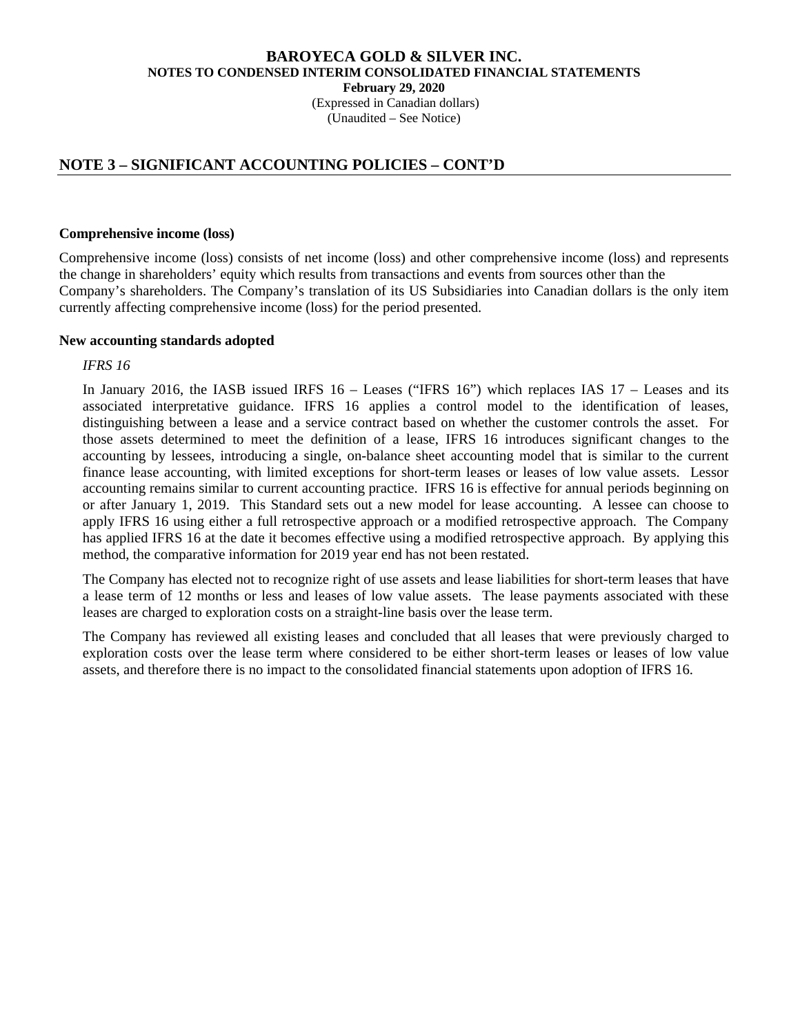(Expressed in Canadian dollars) (Unaudited – See Notice)

# **NOTE 3 – SIGNIFICANT ACCOUNTING POLICIES – CONT'D**

#### **Comprehensive income (loss)**

Comprehensive income (loss) consists of net income (loss) and other comprehensive income (loss) and represents the change in shareholders' equity which results from transactions and events from sources other than the Company's shareholders. The Company's translation of its US Subsidiaries into Canadian dollars is the only item currently affecting comprehensive income (loss) for the period presented.

#### **New accounting standards adopted**

#### *IFRS 16*

In January 2016, the IASB issued IRFS 16 – Leases ("IFRS 16") which replaces IAS 17 – Leases and its associated interpretative guidance. IFRS 16 applies a control model to the identification of leases, distinguishing between a lease and a service contract based on whether the customer controls the asset. For those assets determined to meet the definition of a lease, IFRS 16 introduces significant changes to the accounting by lessees, introducing a single, on-balance sheet accounting model that is similar to the current finance lease accounting, with limited exceptions for short-term leases or leases of low value assets. Lessor accounting remains similar to current accounting practice. IFRS 16 is effective for annual periods beginning on or after January 1, 2019. This Standard sets out a new model for lease accounting. A lessee can choose to apply IFRS 16 using either a full retrospective approach or a modified retrospective approach. The Company has applied IFRS 16 at the date it becomes effective using a modified retrospective approach. By applying this method, the comparative information for 2019 year end has not been restated.

The Company has elected not to recognize right of use assets and lease liabilities for short-term leases that have a lease term of 12 months or less and leases of low value assets. The lease payments associated with these leases are charged to exploration costs on a straight-line basis over the lease term.

The Company has reviewed all existing leases and concluded that all leases that were previously charged to exploration costs over the lease term where considered to be either short-term leases or leases of low value assets, and therefore there is no impact to the consolidated financial statements upon adoption of IFRS 16.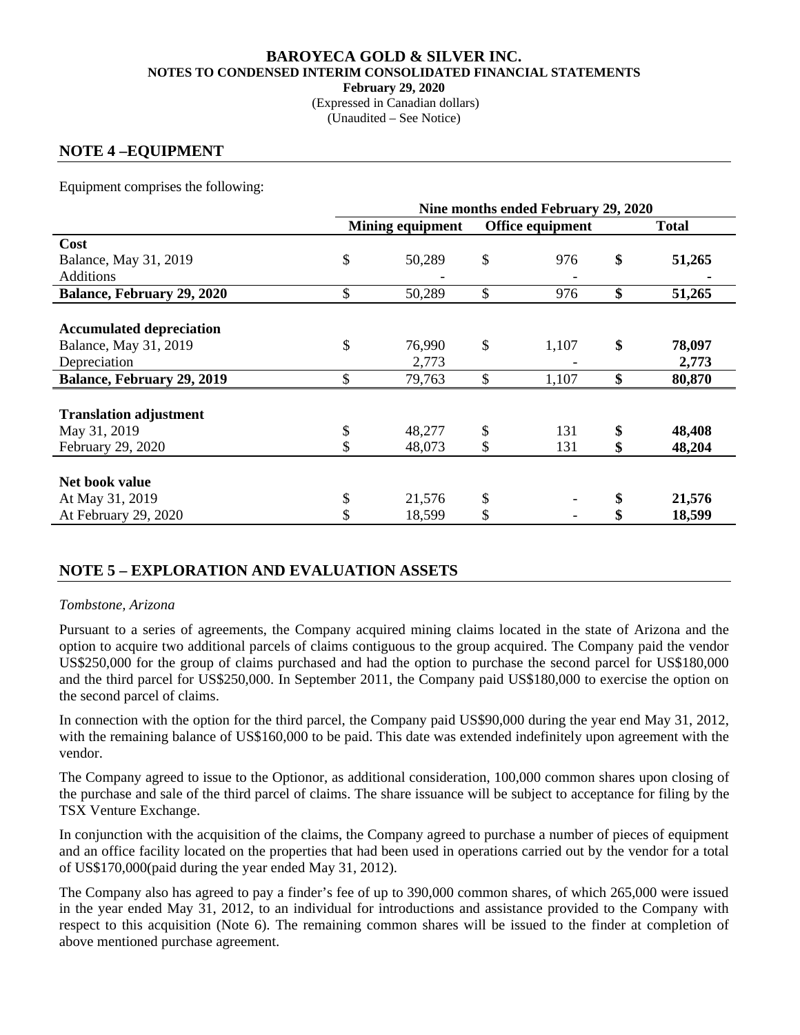(Expressed in Canadian dollars) (Unaudited – See Notice)

# **NOTE 4 –EQUIPMENT**

Equipment comprises the following:

|                                   | Nine months ended February 29, 2020 |        |    |                  |    |              |  |  |  |
|-----------------------------------|-------------------------------------|--------|----|------------------|----|--------------|--|--|--|
|                                   | <b>Mining equipment</b>             |        |    | Office equipment |    | <b>Total</b> |  |  |  |
| Cost                              |                                     |        |    |                  |    |              |  |  |  |
| Balance, May 31, 2019             | \$                                  | 50,289 | \$ | 976              | \$ | 51,265       |  |  |  |
| <b>Additions</b>                  |                                     |        |    |                  |    |              |  |  |  |
| <b>Balance, February 29, 2020</b> | \$                                  | 50,289 | \$ | 976              | \$ | 51,265       |  |  |  |
|                                   |                                     |        |    |                  |    |              |  |  |  |
| <b>Accumulated depreciation</b>   |                                     |        |    |                  |    |              |  |  |  |
| Balance, May 31, 2019             | \$                                  | 76,990 | \$ | 1,107            | \$ | 78,097       |  |  |  |
| Depreciation                      |                                     | 2,773  |    |                  |    | 2,773        |  |  |  |
| <b>Balance, February 29, 2019</b> | \$                                  | 79,763 | \$ | 1,107            | \$ | 80,870       |  |  |  |
|                                   |                                     |        |    |                  |    |              |  |  |  |
| <b>Translation adjustment</b>     |                                     |        |    |                  |    |              |  |  |  |
| May 31, 2019                      | \$                                  | 48,277 | \$ | 131              | \$ | 48,408       |  |  |  |
| February 29, 2020                 |                                     | 48,073 |    | 131              | \$ | 48,204       |  |  |  |
|                                   |                                     |        |    |                  |    |              |  |  |  |
| Net book value                    |                                     |        |    |                  |    |              |  |  |  |
| At May 31, 2019                   | \$                                  | 21,576 | \$ |                  | \$ | 21,576       |  |  |  |
| At February 29, 2020              | \$                                  | 18,599 | \$ |                  |    | 18,599       |  |  |  |

### **NOTE 5 – EXPLORATION AND EVALUATION ASSETS**

### *Tombstone, Arizona*

Pursuant to a series of agreements, the Company acquired mining claims located in the state of Arizona and the option to acquire two additional parcels of claims contiguous to the group acquired. The Company paid the vendor US\$250,000 for the group of claims purchased and had the option to purchase the second parcel for US\$180,000 and the third parcel for US\$250,000. In September 2011, the Company paid US\$180,000 to exercise the option on the second parcel of claims.

In connection with the option for the third parcel, the Company paid US\$90,000 during the year end May 31, 2012, with the remaining balance of US\$160,000 to be paid. This date was extended indefinitely upon agreement with the vendor.

The Company agreed to issue to the Optionor, as additional consideration, 100,000 common shares upon closing of the purchase and sale of the third parcel of claims. The share issuance will be subject to acceptance for filing by the TSX Venture Exchange.

In conjunction with the acquisition of the claims, the Company agreed to purchase a number of pieces of equipment and an office facility located on the properties that had been used in operations carried out by the vendor for a total of US\$170,000(paid during the year ended May 31, 2012).

The Company also has agreed to pay a finder's fee of up to 390,000 common shares, of which 265,000 were issued in the year ended May 31, 2012, to an individual for introductions and assistance provided to the Company with respect to this acquisition (Note 6). The remaining common shares will be issued to the finder at completion of above mentioned purchase agreement.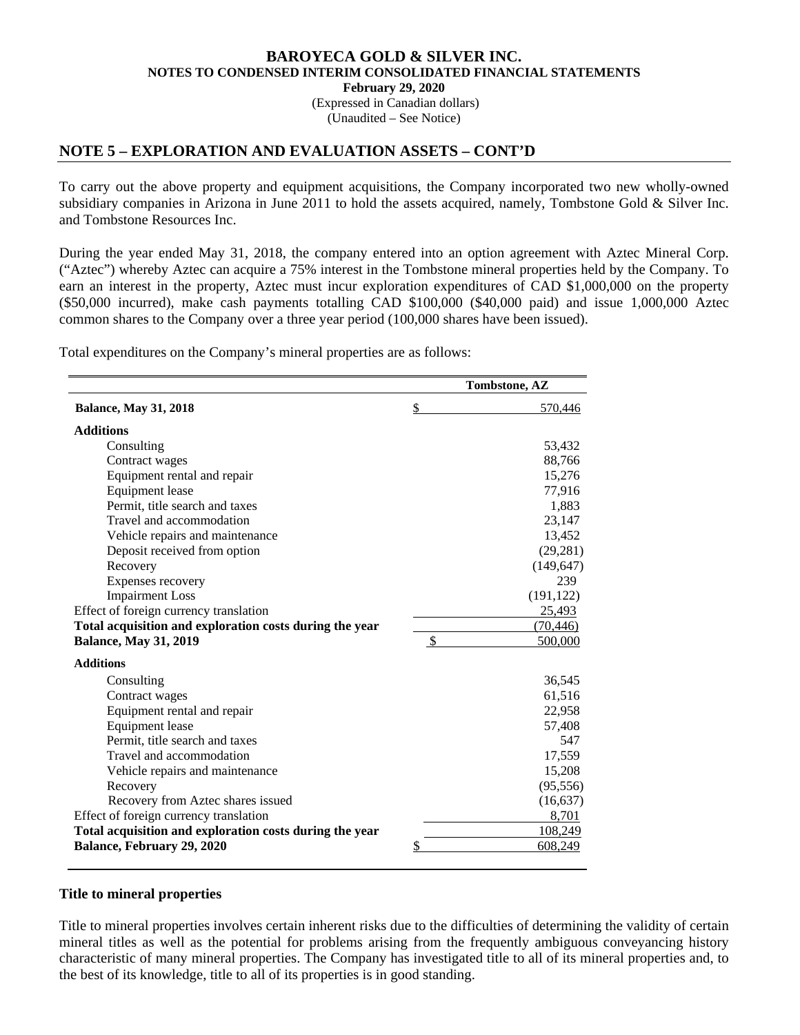(Expressed in Canadian dollars) (Unaudited – See Notice)

### **NOTE 5 – EXPLORATION AND EVALUATION ASSETS – CONT'D**

To carry out the above property and equipment acquisitions, the Company incorporated two new wholly-owned subsidiary companies in Arizona in June 2011 to hold the assets acquired, namely, Tombstone Gold & Silver Inc. and Tombstone Resources Inc.

During the year ended May 31, 2018, the company entered into an option agreement with Aztec Mineral Corp. ("Aztec") whereby Aztec can acquire a 75% interest in the Tombstone mineral properties held by the Company. To earn an interest in the property, Aztec must incur exploration expenditures of CAD \$1,000,000 on the property (\$50,000 incurred), make cash payments totalling CAD \$100,000 (\$40,000 paid) and issue 1,000,000 Aztec common shares to the Company over a three year period (100,000 shares have been issued).

Total expenditures on the Company's mineral properties are as follows:

|                                                         |                           | Tombstone, AZ |
|---------------------------------------------------------|---------------------------|---------------|
| <b>Balance, May 31, 2018</b>                            | \$                        | 570,446       |
| <b>Additions</b>                                        |                           |               |
| Consulting                                              |                           | 53,432        |
| Contract wages                                          |                           | 88,766        |
| Equipment rental and repair                             |                           | 15,276        |
| Equipment lease                                         |                           | 77,916        |
| Permit, title search and taxes                          |                           | 1,883         |
| Travel and accommodation                                |                           | 23,147        |
| Vehicle repairs and maintenance                         |                           | 13,452        |
| Deposit received from option                            |                           | (29, 281)     |
| Recovery                                                |                           | (149, 647)    |
| Expenses recovery                                       |                           | 239           |
| <b>Impairment Loss</b>                                  |                           | (191, 122)    |
| Effect of foreign currency translation                  |                           | 25,493        |
| Total acquisition and exploration costs during the year |                           | (70, 446)     |
| <b>Balance, May 31, 2019</b>                            | $\boldsymbol{\mathsf{S}}$ | 500,000       |
| <b>Additions</b>                                        |                           |               |
| Consulting                                              |                           | 36,545        |
| Contract wages                                          |                           | 61,516        |
| Equipment rental and repair                             |                           | 22,958        |
| <b>Equipment</b> lease                                  |                           | 57,408        |
| Permit, title search and taxes                          |                           | 547           |
| Travel and accommodation                                |                           | 17,559        |
| Vehicle repairs and maintenance                         |                           | 15,208        |
| Recovery                                                |                           | (95, 556)     |
| Recovery from Aztec shares issued                       |                           | (16, 637)     |
| Effect of foreign currency translation                  |                           | 8,701         |
| Total acquisition and exploration costs during the year |                           | 108,249       |
| <b>Balance, February 29, 2020</b>                       | \$                        | 608,249       |

#### **Title to mineral properties**

Title to mineral properties involves certain inherent risks due to the difficulties of determining the validity of certain mineral titles as well as the potential for problems arising from the frequently ambiguous conveyancing history characteristic of many mineral properties. The Company has investigated title to all of its mineral properties and, to the best of its knowledge, title to all of its properties is in good standing.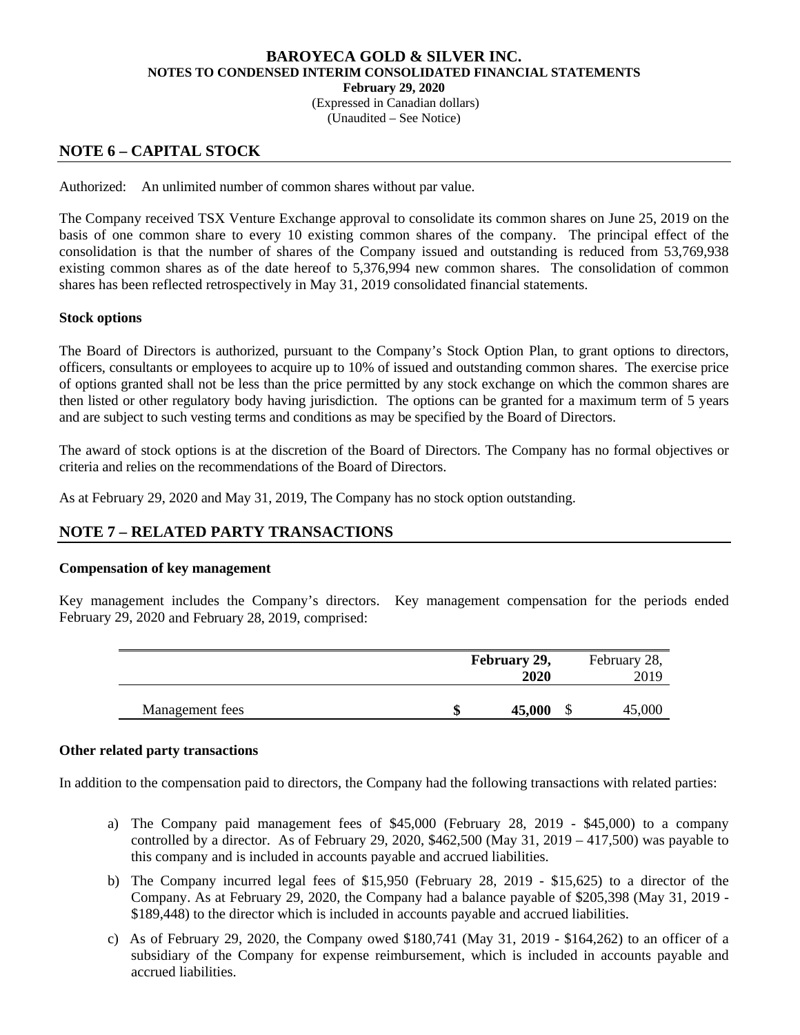(Expressed in Canadian dollars) (Unaudited – See Notice)

# **NOTE 6 – CAPITAL STOCK**

Authorized: An unlimited number of common shares without par value.

The Company received TSX Venture Exchange approval to consolidate its common shares on June 25, 2019 on the basis of one common share to every 10 existing common shares of the company. The principal effect of the consolidation is that the number of shares of the Company issued and outstanding is reduced from 53,769,938 existing common shares as of the date hereof to 5,376,994 new common shares. The consolidation of common shares has been reflected retrospectively in May 31, 2019 consolidated financial statements.

### **Stock options**

The Board of Directors is authorized, pursuant to the Company's Stock Option Plan, to grant options to directors, officers, consultants or employees to acquire up to 10% of issued and outstanding common shares. The exercise price of options granted shall not be less than the price permitted by any stock exchange on which the common shares are then listed or other regulatory body having jurisdiction. The options can be granted for a maximum term of 5 years and are subject to such vesting terms and conditions as may be specified by the Board of Directors.

The award of stock options is at the discretion of the Board of Directors. The Company has no formal objectives or criteria and relies on the recommendations of the Board of Directors.

As at February 29, 2020 and May 31, 2019, The Company has no stock option outstanding.

# **NOTE 7 – RELATED PARTY TRANSACTIONS**

### **Compensation of key management**

Key management includes the Company's directors. Key management compensation for the periods ended February 29, 2020 and February 28, 2019, comprised:

|                 |    | February 29,<br>2020 | February 28,<br>2019 |
|-----------------|----|----------------------|----------------------|
| Management fees | ιD | 45,000               | 45,000               |

#### **Other related party transactions**

In addition to the compensation paid to directors, the Company had the following transactions with related parties:

- a) The Company paid management fees of \$45,000 (February 28, 2019 \$45,000) to a company controlled by a director. As of February 29, 2020, \$462,500 (May 31, 2019 – 417,500) was payable to this company and is included in accounts payable and accrued liabilities.
- b) The Company incurred legal fees of \$15,950 (February 28, 2019 \$15,625) to a director of the Company. As at February 29, 2020, the Company had a balance payable of \$205,398 (May 31, 2019 - \$189,448) to the director which is included in accounts payable and accrued liabilities.
- c) As of February 29, 2020, the Company owed \$180,741 (May 31, 2019 \$164,262) to an officer of a subsidiary of the Company for expense reimbursement, which is included in accounts payable and accrued liabilities.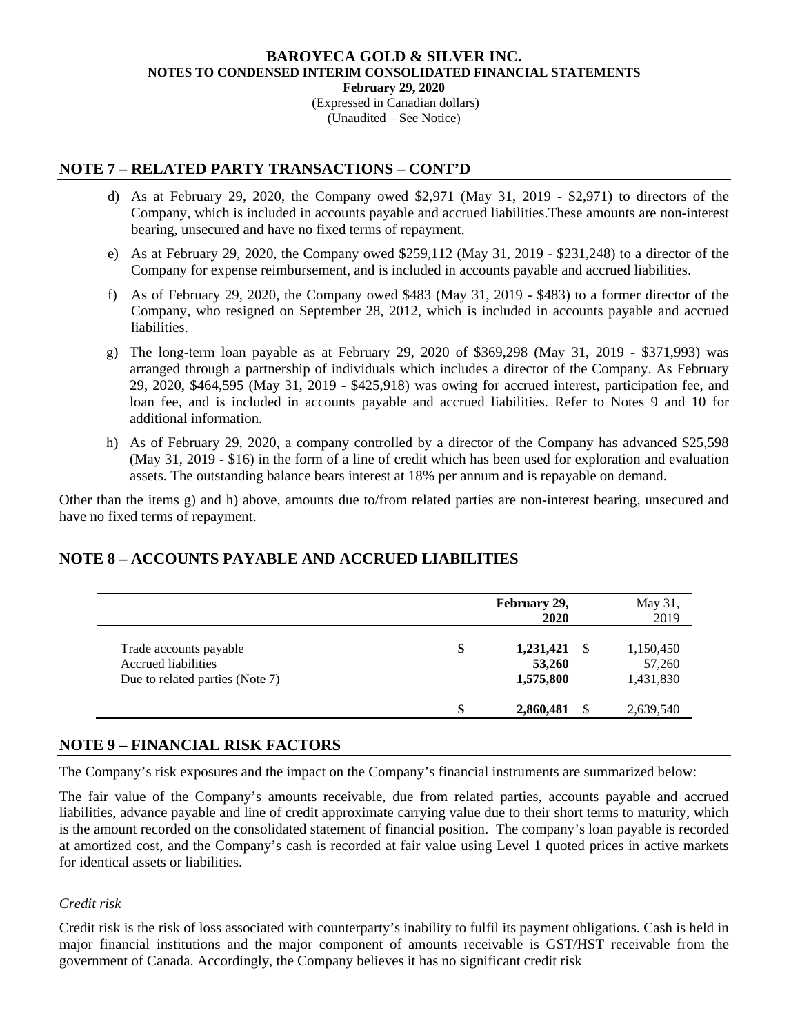(Expressed in Canadian dollars) (Unaudited – See Notice)

# **NOTE 7 – RELATED PARTY TRANSACTIONS – CONT'D**

- d) As at February 29, 2020, the Company owed \$2,971 (May 31, 2019 \$2,971) to directors of the Company, which is included in accounts payable and accrued liabilities.These amounts are non-interest bearing, unsecured and have no fixed terms of repayment.
- e) As at February 29, 2020, the Company owed \$259,112 (May 31, 2019 \$231,248) to a director of the Company for expense reimbursement, and is included in accounts payable and accrued liabilities.
- f) As of February 29, 2020, the Company owed \$483 (May 31, 2019 \$483) to a former director of the Company, who resigned on September 28, 2012, which is included in accounts payable and accrued liabilities.
- g) The long-term loan payable as at February 29, 2020 of \$369,298 (May 31, 2019 \$371,993) was arranged through a partnership of individuals which includes a director of the Company. As February 29, 2020, \$464,595 (May 31, 2019 - \$425,918) was owing for accrued interest, participation fee, and loan fee, and is included in accounts payable and accrued liabilities. Refer to Notes 9 and 10 for additional information.
- h) As of February 29, 2020, a company controlled by a director of the Company has advanced \$25,598 (May 31, 2019 - \$16) in the form of a line of credit which has been used for exploration and evaluation assets. The outstanding balance bears interest at 18% per annum and is repayable on demand.

Other than the items g) and h) above, amounts due to/from related parties are non-interest bearing, unsecured and have no fixed terms of repayment.

# **NOTE 8 – ACCOUNTS PAYABLE AND ACCRUED LIABILITIES**

|                                 | February 29,<br>2020 | May 31,<br>2019 |
|---------------------------------|----------------------|-----------------|
| Trade accounts payable          | \$<br>1,231,421      | 1,150,450       |
| Accrued liabilities             | 53,260               | 57,260          |
| Due to related parties (Note 7) | 1,575,800            | 1,431,830       |
|                                 | \$<br>2,860,481      | 2,639,540       |

### **NOTE 9 – FINANCIAL RISK FACTORS**

The Company's risk exposures and the impact on the Company's financial instruments are summarized below:

The fair value of the Company's amounts receivable, due from related parties, accounts payable and accrued liabilities, advance payable and line of credit approximate carrying value due to their short terms to maturity, which is the amount recorded on the consolidated statement of financial position. The company's loan payable is recorded at amortized cost, and the Company's cash is recorded at fair value using Level 1 quoted prices in active markets for identical assets or liabilities.

### *Credit risk*

Credit risk is the risk of loss associated with counterparty's inability to fulfil its payment obligations. Cash is held in major financial institutions and the major component of amounts receivable is GST/HST receivable from the government of Canada. Accordingly, the Company believes it has no significant credit risk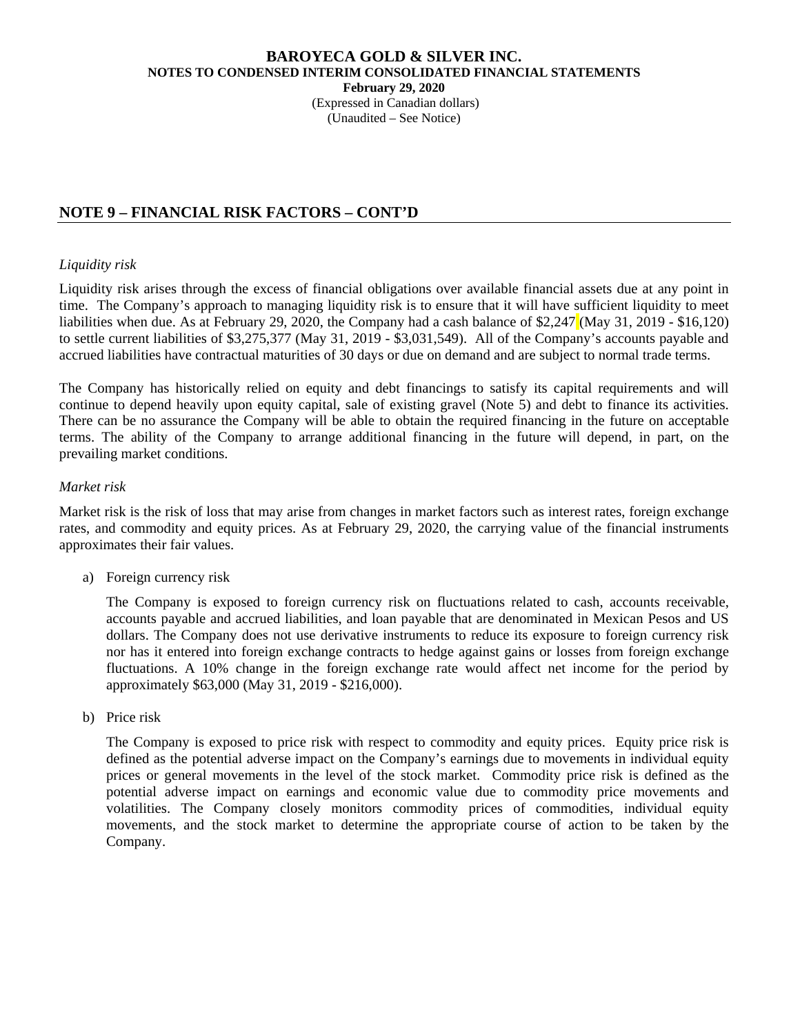(Expressed in Canadian dollars) (Unaudited – See Notice)

# **NOTE 9 – FINANCIAL RISK FACTORS – CONT'D**

### *Liquidity risk*

Liquidity risk arises through the excess of financial obligations over available financial assets due at any point in time. The Company's approach to managing liquidity risk is to ensure that it will have sufficient liquidity to meet liabilities when due. As at February 29, 2020, the Company had a cash balance of \$2,247 (May 31, 2019 - \$16,120) to settle current liabilities of \$3,275,377 (May 31, 2019 - \$3,031,549). All of the Company's accounts payable and accrued liabilities have contractual maturities of 30 days or due on demand and are subject to normal trade terms.

The Company has historically relied on equity and debt financings to satisfy its capital requirements and will continue to depend heavily upon equity capital, sale of existing gravel (Note 5) and debt to finance its activities. There can be no assurance the Company will be able to obtain the required financing in the future on acceptable terms. The ability of the Company to arrange additional financing in the future will depend, in part, on the prevailing market conditions.

### *Market risk*

Market risk is the risk of loss that may arise from changes in market factors such as interest rates, foreign exchange rates, and commodity and equity prices. As at February 29, 2020, the carrying value of the financial instruments approximates their fair values.

a) Foreign currency risk

The Company is exposed to foreign currency risk on fluctuations related to cash, accounts receivable, accounts payable and accrued liabilities, and loan payable that are denominated in Mexican Pesos and US dollars. The Company does not use derivative instruments to reduce its exposure to foreign currency risk nor has it entered into foreign exchange contracts to hedge against gains or losses from foreign exchange fluctuations. A 10% change in the foreign exchange rate would affect net income for the period by approximately \$63,000 (May 31, 2019 - \$216,000).

b) Price risk

The Company is exposed to price risk with respect to commodity and equity prices. Equity price risk is defined as the potential adverse impact on the Company's earnings due to movements in individual equity prices or general movements in the level of the stock market. Commodity price risk is defined as the potential adverse impact on earnings and economic value due to commodity price movements and volatilities. The Company closely monitors commodity prices of commodities, individual equity movements, and the stock market to determine the appropriate course of action to be taken by the Company.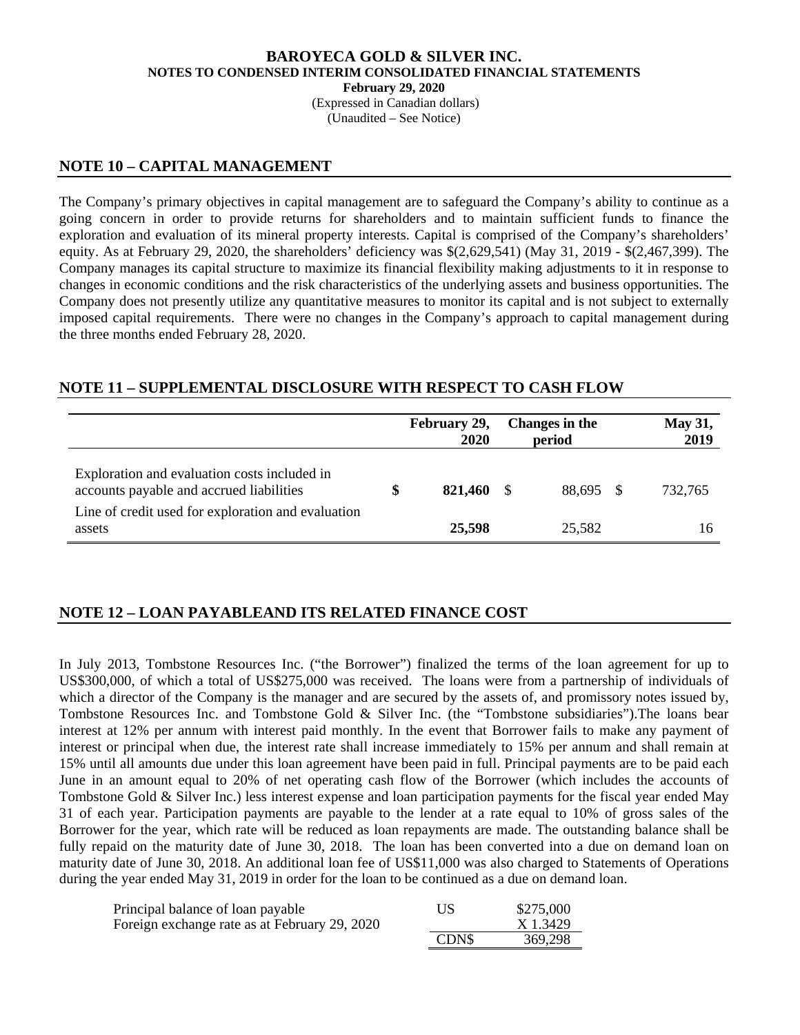(Expressed in Canadian dollars) (Unaudited – See Notice)

### **NOTE 10 – CAPITAL MANAGEMENT**

The Company's primary objectives in capital management are to safeguard the Company's ability to continue as a going concern in order to provide returns for shareholders and to maintain sufficient funds to finance the exploration and evaluation of its mineral property interests. Capital is comprised of the Company's shareholders' equity. As at February 29, 2020, the shareholders' deficiency was \$(2,629,541) (May 31, 2019 - \$(2,467,399). The Company manages its capital structure to maximize its financial flexibility making adjustments to it in response to changes in economic conditions and the risk characteristics of the underlying assets and business opportunities. The Company does not presently utilize any quantitative measures to monitor its capital and is not subject to externally imposed capital requirements. There were no changes in the Company's approach to capital management during the three months ended February 28, 2020.

# **NOTE 11 – SUPPLEMENTAL DISCLOSURE WITH RESPECT TO CASH FLOW**

|                                                                                          | February 29,<br>2020 |    | Changes in the<br>period | <b>May 31,</b><br>2019 |
|------------------------------------------------------------------------------------------|----------------------|----|--------------------------|------------------------|
| Exploration and evaluation costs included in<br>accounts payable and accrued liabilities | \$<br>821,460        | -S | 88,695 \$                | 732.765                |
| Line of credit used for exploration and evaluation<br>assets                             | 25,598               |    | 25,582                   | 16                     |

# **NOTE 12 – LOAN PAYABLEAND ITS RELATED FINANCE COST**

In July 2013, Tombstone Resources Inc. ("the Borrower") finalized the terms of the loan agreement for up to US\$300,000, of which a total of US\$275,000 was received. The loans were from a partnership of individuals of which a director of the Company is the manager and are secured by the assets of, and promissory notes issued by, Tombstone Resources Inc. and Tombstone Gold & Silver Inc. (the "Tombstone subsidiaries").The loans bear interest at 12% per annum with interest paid monthly. In the event that Borrower fails to make any payment of interest or principal when due, the interest rate shall increase immediately to 15% per annum and shall remain at 15% until all amounts due under this loan agreement have been paid in full. Principal payments are to be paid each June in an amount equal to 20% of net operating cash flow of the Borrower (which includes the accounts of Tombstone Gold & Silver Inc.) less interest expense and loan participation payments for the fiscal year ended May 31 of each year. Participation payments are payable to the lender at a rate equal to 10% of gross sales of the Borrower for the year, which rate will be reduced as loan repayments are made. The outstanding balance shall be fully repaid on the maturity date of June 30, 2018. The loan has been converted into a due on demand loan on maturity date of June 30, 2018. An additional loan fee of US\$11,000 was also charged to Statements of Operations during the year ended May 31, 2019 in order for the loan to be continued as a due on demand loan.

| Principal balance of loan payable<br>Foreign exchange rate as at February 29, 2020 | US    | \$275,000<br>X 1.3429 |
|------------------------------------------------------------------------------------|-------|-----------------------|
|                                                                                    | CDN\$ | 369,298               |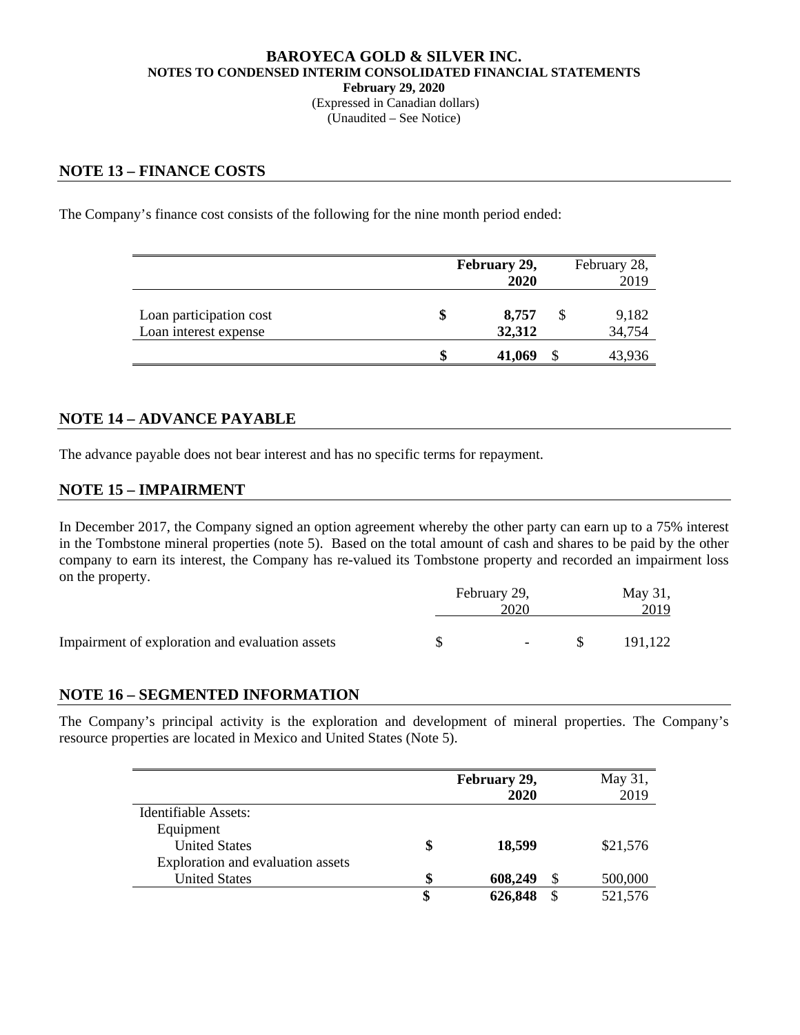#### **BAROYECA GOLD & SILVER INC. NOTES TO CONDENSED INTERIM CONSOLIDATED FINANCIAL STATEMENTS February 29, 2020**  (Expressed in Canadian dollars)

(Unaudited – See Notice)

### **NOTE 13 – FINANCE COSTS**

The Company's finance cost consists of the following for the nine month period ended:

|                                                  | February 29,<br>2020 |                 |  | February 28,<br>2019 |
|--------------------------------------------------|----------------------|-----------------|--|----------------------|
| Loan participation cost<br>Loan interest expense | S                    | 8,757<br>32,312 |  | 9,182<br>34,754      |
|                                                  | \$                   | 41,069          |  | 43,936               |

### **NOTE 14 – ADVANCE PAYABLE**

The advance payable does not bear interest and has no specific terms for repayment.

### **NOTE 15 – IMPAIRMENT**

In December 2017, the Company signed an option agreement whereby the other party can earn up to a 75% interest in the Tombstone mineral properties (note 5). Based on the total amount of cash and shares to be paid by the other company to earn its interest, the Company has re-valued its Tombstone property and recorded an impairment loss on the property.

|                                                 | February 29, |                          |  | May 31, |  |
|-------------------------------------------------|--------------|--------------------------|--|---------|--|
|                                                 | 2020         |                          |  | 2019    |  |
|                                                 |              |                          |  |         |  |
| Impairment of exploration and evaluation assets |              | $\overline{\phantom{a}}$ |  | 191.122 |  |

### **NOTE 16 – SEGMENTED INFORMATION**

The Company's principal activity is the exploration and development of mineral properties. The Company's resource properties are located in Mexico and United States (Note 5).

|                                   | February 29,<br>2020 |               | May 31,<br>2019 |
|-----------------------------------|----------------------|---------------|-----------------|
| Identifiable Assets:              |                      |               |                 |
| Equipment                         |                      |               |                 |
| <b>United States</b>              | \$<br>18,599         |               | \$21,576        |
| Exploration and evaluation assets |                      |               |                 |
| <b>United States</b>              | \$<br>608,249        | S             | 500,000         |
|                                   | \$<br>626,848        | <sup>\$</sup> | 521,576         |